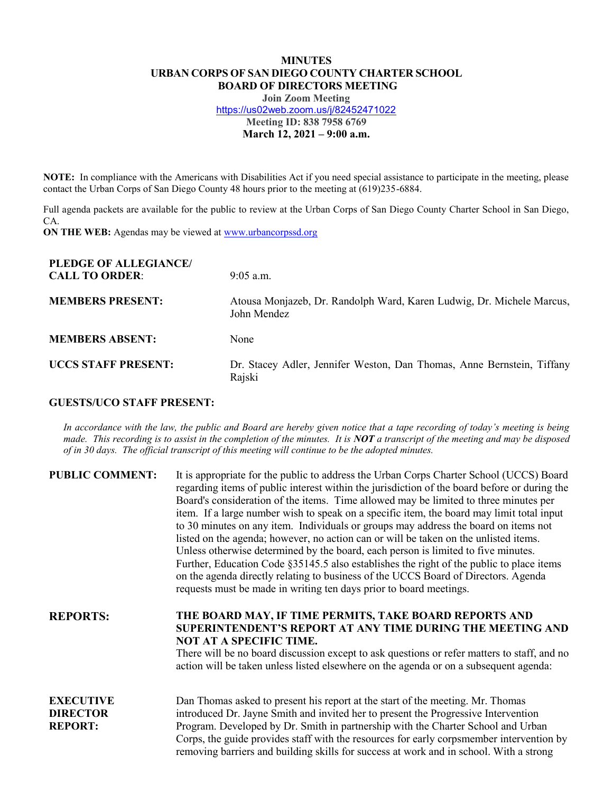## **MINUTES URBAN CORPS OF SAN DIEGO COUNTY CHARTER SCHOOL BOARD OF DIRECTORS MEETING**

**Join Zoom Meeting** https://us02web.zoom.us/j/82452471022 **Meeting ID: 838 7958 6769 March 12, 2021 ± 9:00 a.m.**

**NOTE:** In compliance with the Americans with Disabilities Act if you need special assistance to participate in the meeting, please contact the Urban Corps of San Diego County 48 hours prior to the meeting at (619)235-6884.

Full agenda packets are available for the public to review at the Urban Corps of San Diego County Charter School in San Diego, CA.

**ON THE WEB:** Agendas may be viewed at www.urbancorpssd.org

| PLEDGE OF ALLEGIANCE/<br><b>CALL TO ORDER:</b> | $9:05$ a.m.                                                                          |
|------------------------------------------------|--------------------------------------------------------------------------------------|
| <b>MEMBERS PRESENT:</b>                        | Atousa Monjazeb, Dr. Randolph Ward, Karen Ludwig, Dr. Michele Marcus,<br>John Mendez |
| <b>MEMBERS ABSENT:</b>                         | None                                                                                 |
| <b>UCCS STAFF PRESENT:</b>                     | Dr. Stacey Adler, Jennifer Weston, Dan Thomas, Anne Bernstein, Tiffany<br>Rajski     |

## **GUESTS/UCO STAFF PRESENT:**

*In accordance with the law, the public and Board are hereby given notice that a tape recording of today's meeting is being made. This recording is to assist in the completion of the minutes. It is NOT a transcript of the meeting and may be disposed of in 30 days. The official transcript of this meeting will continue to be the adopted minutes.*

| <b>PUBLIC COMMENT:</b>                                | It is appropriate for the public to address the Urban Corps Charter School (UCCS) Board<br>regarding items of public interest within the jurisdiction of the board before or during the<br>Board's consideration of the items. Time allowed may be limited to three minutes per<br>item. If a large number wish to speak on a specific item, the board may limit total input<br>to 30 minutes on any item. Individuals or groups may address the board on items not<br>listed on the agenda; however, no action can or will be taken on the unlisted items.<br>Unless otherwise determined by the board, each person is limited to five minutes.<br>Further, Education Code §35145.5 also establishes the right of the public to place items<br>on the agenda directly relating to business of the UCCS Board of Directors. Agenda<br>requests must be made in writing ten days prior to board meetings. |
|-------------------------------------------------------|----------------------------------------------------------------------------------------------------------------------------------------------------------------------------------------------------------------------------------------------------------------------------------------------------------------------------------------------------------------------------------------------------------------------------------------------------------------------------------------------------------------------------------------------------------------------------------------------------------------------------------------------------------------------------------------------------------------------------------------------------------------------------------------------------------------------------------------------------------------------------------------------------------|
| <b>REPORTS:</b>                                       | THE BOARD MAY, IF TIME PERMITS, TAKE BOARD REPORTS AND<br>SUPERINTENDENT'S REPORT AT ANY TIME DURING THE MEETING AND<br><b>NOT AT A SPECIFIC TIME.</b><br>There will be no board discussion except to ask questions or refer matters to staff, and no<br>action will be taken unless listed elsewhere on the agenda or on a subsequent agenda:                                                                                                                                                                                                                                                                                                                                                                                                                                                                                                                                                           |
| <b>EXECUTIVE</b><br><b>DIRECTOR</b><br><b>REPORT:</b> | Dan Thomas asked to present his report at the start of the meeting. Mr. Thomas<br>introduced Dr. Jayne Smith and invited her to present the Progressive Intervention<br>Program. Developed by Dr. Smith in partnership with the Charter School and Urban<br>Corps, the guide provides staff with the resources for early corpsmember intervention by<br>removing barriers and building skills for success at work and in school. With a strong                                                                                                                                                                                                                                                                                                                                                                                                                                                           |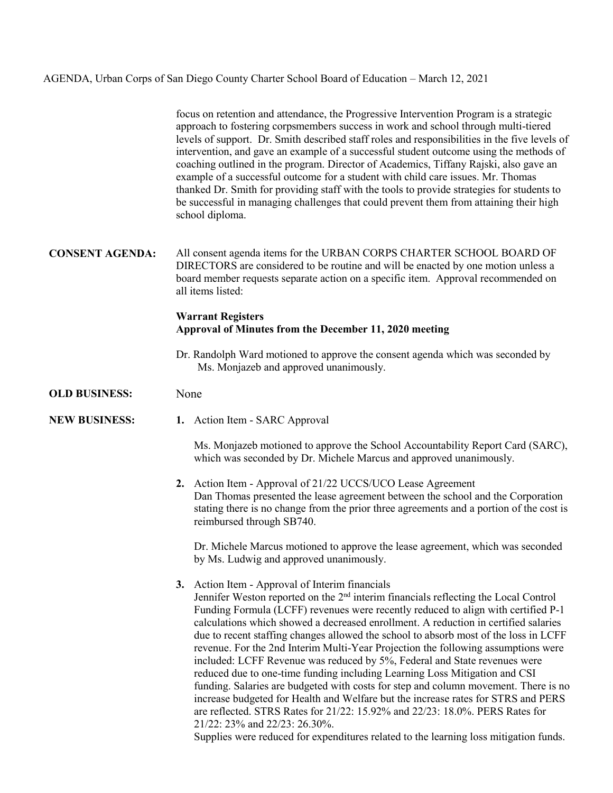## AGENDA, Urban Corps of San Diego County Charter School Board of Education – March 12, 2021

focus on retention and attendance, the Progressive Intervention Program is a strategic approach to fostering corpsmembers success in work and school through multi-tiered levels of support. Dr. Smith described staff roles and responsibilities in the five levels of intervention, and gave an example of a successful student outcome using the methods of coaching outlined in the program. Director of Academics, Tiffany Rajski, also gave an example of a successful outcome for a student with child care issues. Mr. Thomas thanked Dr. Smith for providing staff with the tools to provide strategies for students to be successful in managing challenges that could prevent them from attaining their high school diploma.

**CONSENT AGENDA:** All consent agenda items for the URBAN CORPS CHARTER SCHOOL BOARD OF DIRECTORS are considered to be routine and will be enacted by one motion unless a board member requests separate action on a specific item. Approval recommended on all items listed:

## **Warrant Registers Approval of Minutes from the December 11, 2020 meeting**

- Dr. Randolph Ward motioned to approve the consent agenda which was seconded by Ms. Monjazeb and approved unanimously.
- **OLD BUSINESS:** None
- **NEW BUSINESS: 1.** Action Item SARC Approval

Ms. Monjazeb motioned to approve the School Accountability Report Card (SARC), which was seconded by Dr. Michele Marcus and approved unanimously.

**2.** Action Item - Approval of 21/22 UCCS/UCO Lease Agreement Dan Thomas presented the lease agreement between the school and the Corporation stating there is no change from the prior three agreements and a portion of the cost is reimbursed through SB740.

Dr. Michele Marcus motioned to approve the lease agreement, which was seconded by Ms. Ludwig and approved unanimously.

**3.** Action Item - Approval of Interim financials Jennifer Weston reported on the 2nd interim financials reflecting the Local Control Funding Formula (LCFF) revenues were recently reduced to align with certified P-1 calculations which showed a decreased enrollment. A reduction in certified salaries due to recent staffing changes allowed the school to absorb most of the loss in LCFF revenue. For the 2nd Interim Multi-Year Projection the following assumptions were included: LCFF Revenue was reduced by 5%, Federal and State revenues were reduced due to one-time funding including Learning Loss Mitigation and CSI funding. Salaries are budgeted with costs for step and column movement. There is no increase budgeted for Health and Welfare but the increase rates for STRS and PERS are reflected. STRS Rates for 21/22: 15.92% and 22/23: 18.0%. PERS Rates for 21/22: 23% and 22/23: 26.30%.

Supplies were reduced for expenditures related to the learning loss mitigation funds.